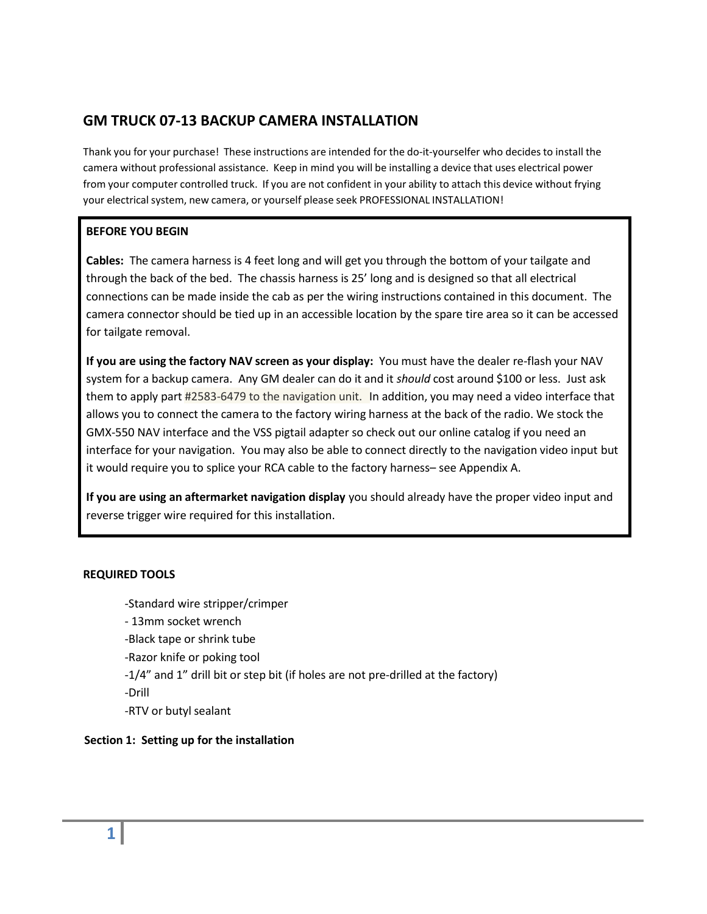## **GM TRUCK 07-13 BACKUP CAMERA INSTALLATION**

Thank you for your purchase! These instructions are intended for the do-it-yourselfer who decidesto install the camera without professional assistance. Keep in mind you will be installing a device that uses electrical power from your computer controlled truck. If you are not confident in your ability to attach this device without frying your electrical system, new camera, or yourself please seek PROFESSIONAL INSTALLATION!

#### **BEFORE YOU BEGIN**

**Cables:** The camera harness is 4 feet long and will get you through the bottom of your tailgate and through the back of the bed. The chassis harness is 25' long and is designed so that all electrical connections can be made inside the cab as per the wiring instructions contained in this document. The camera connector should be tied up in an accessible location by the spare tire area so it can be accessed for tailgate removal.

**If you are using the factory NAV screen as your display:** You must have the dealer re-flash your NAV system for a backup camera. Any GM dealer can do it and it *should* cost around \$100 or less. Just ask them to apply part #2583-6479 to the navigation unit. In addition, you may need a video interface that allows you to connect the camera to the factory wiring harness at the back of the radio. We stock the GMX-550 NAV interface and the VSS pigtail adapter so check out our online catalog if you need an interface for your navigation. You may also be able to connect directly to the navigation video input but it would require you to splice your RCA cable to the factory harness– see Appendix A.

**If you are using an aftermarket navigation display** you should already have the proper video input and reverse trigger wire required for this installation.

#### **REQUIRED TOOLS**

-Standard wire stripper/crimper

- 13mm socket wrench

-Black tape or shrink tube

-Razor knife or poking tool

- -1/4" and 1" drill bit or step bit (if holes are not pre-drilled at the factory)
- -Drill
- -RTV or butyl sealant

## **Section 1: Setting up for the installation**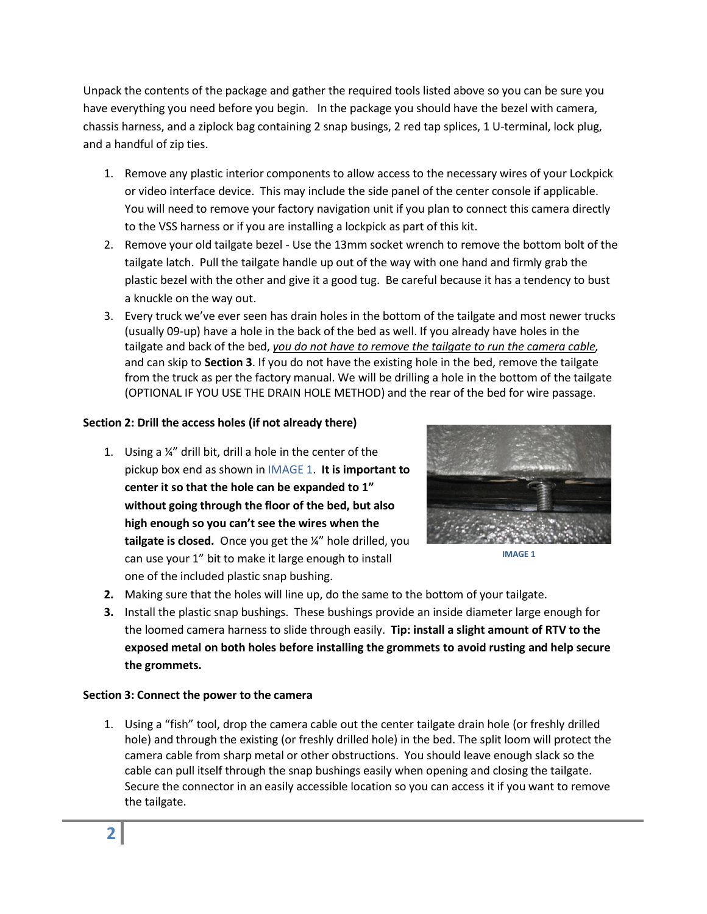Unpack the contents of the package and gather the required tools listed above so you can be sure you have everything you need before you begin. In the package you should have the bezel with camera, chassis harness, and a ziplock bag containing 2 snap busings, 2 red tap splices, 1 U-terminal, lock plug, and a handful of zip ties.

- 1. Remove any plastic interior components to allow access to the necessary wires of your Lockpick or video interface device. This may include the side panel of the center console if applicable. You will need to remove your factory navigation unit if you plan to connect this camera directly to the VSS harness or if you are installing a lockpick as part of this kit.
- 2. Remove your old tailgate bezel Use the 13mm socket wrench to remove the bottom bolt of the tailgate latch. Pull the tailgate handle up out of the way with one hand and firmly grab the plastic bezel with the other and give it a good tug. Be careful because it has a tendency to bust a knuckle on the way out.
- 3. Every truck we've ever seen has drain holes in the bottom of the tailgate and most newer trucks (usually 09‐up) have a hole in the back of the bed as well. If you already have holes in the tailgate and back of the bed, *you do not have to remove the tailgate to run the camera cable,* and can skip to **Section 3**. If you do not have the existing hole in the bed, remove the tailgate from the truck as per the factory manual. We will be drilling a hole in the bottom of the tailgate (OPTIONAL IF YOU USE THE DRAIN HOLE METHOD) and the rear of the bed for wire passage.

## **Section 2: Drill the access holes (if not already there)**

1. Using a ¼" drill bit, drill a hole in the center of the pickup box end as shown in IMAGE 1. **It is important to center it so that the hole can be expanded to 1" without going through the floor of the bed, but also high enough so you can't see the wires when the tailgate is closed.** Once you get the ¼" hole drilled, you can use your 1" bit to make it large enough to install one of the included plastic snap bushing.



**IMAGE 1**

- **2.** Making sure that the holes will line up, do the same to the bottom of your tailgate.
- **3.** Install the plastic snap bushings. These bushings provide an inside diameter large enough for the loomed camera harness to slide through easily. **Tip: install a slight amount of RTV to the exposed metal on both holes before installing the grommets to avoid rusting and help secure the grommets.**

#### **Section 3: Connect the power to the camera**

1. Using a "fish" tool, drop the camera cable out the center tailgate drain hole (or freshly drilled hole) and through the existing (or freshly drilled hole) in the bed. The split loom will protect the camera cable from sharp metal or other obstructions. You should leave enough slack so the cable can pull itself through the snap bushings easily when opening and closing the tailgate. Secure the connector in an easily accessible location so you can access it if you want to remove the tailgate.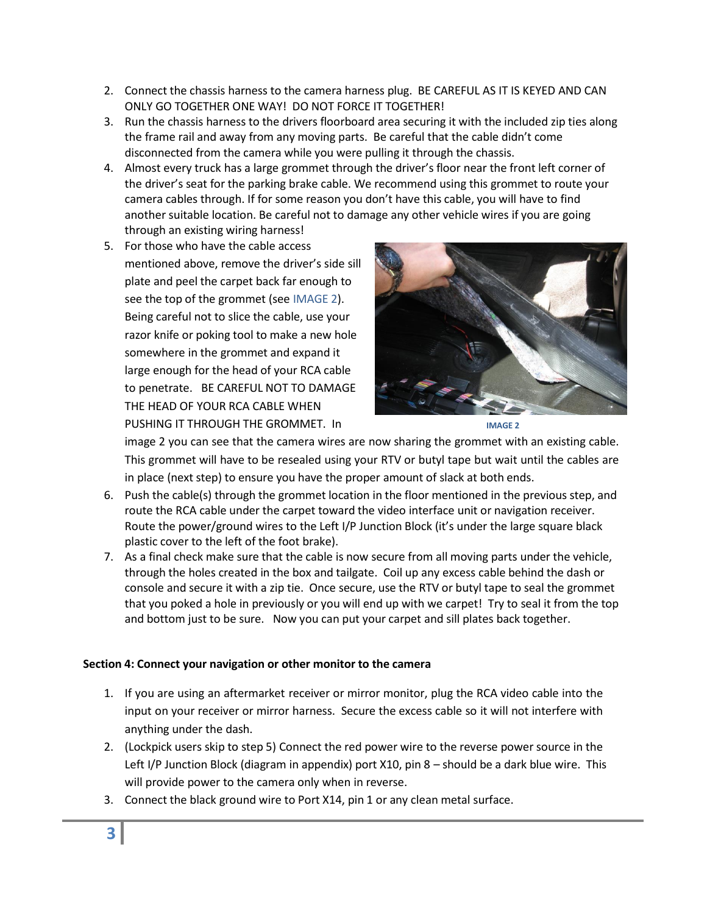- 2. Connect the chassis harness to the camera harness plug. BE CAREFUL AS IT IS KEYED AND CAN ONLY GO TOGETHER ONE WAY! DO NOT FORCE IT TOGETHER!
- 3. Run the chassis harness to the drivers floorboard area securing it with the included zip ties along the frame rail and away from any moving parts. Be careful that the cable didn't come disconnected from the camera while you were pulling it through the chassis.
- 4. Almost every truck has a large grommet through the driver's floor near the front left corner of the driver's seat for the parking brake cable. We recommend using this grommet to route your camera cables through. If for some reason you don't have this cable, you will have to find another suitable location. Be careful not to damage any other vehicle wires if you are going through an existing wiring harness!
- 5. For those who have the cable access mentioned above, remove the driver's side sill plate and peel the carpet back far enough to see the top of the grommet (see IMAGE 2). Being careful not to slice the cable, use your razor knife or poking tool to make a new hole somewhere in the grommet and expand it large enough for the head of your RCA cable to penetrate. BE CAREFUL NOT TO DAMAGE THE HEAD OF YOUR RCA CABLE WHEN PUSHING IT THROUGH THE GROMMET. In





image 2 you can see that the camera wires are now sharing the grommet with an existing cable. This grommet will have to be resealed using your RTV or butyl tape but wait until the cables are in place (next step) to ensure you have the proper amount of slack at both ends.

- 6. Push the cable(s) through the grommet location in the floor mentioned in the previous step, and route the RCA cable under the carpet toward the video interface unit or navigation receiver. Route the power/ground wires to the Left I/P Junction Block (it's under the large square black plastic cover to the left of the foot brake).
- 7. As a final check make sure that the cable is now secure from all moving parts under the vehicle, through the holes created in the box and tailgate. Coil up any excess cable behind the dash or console and secure it with a zip tie. Once secure, use the RTV or butyl tape to seal the grommet that you poked a hole in previously or you will end up with we carpet! Try to seal it from the top and bottom just to be sure. Now you can put your carpet and sill plates back together.

## **Section 4: Connect your navigation or other monitor to the camera**

- 1. If you are using an aftermarket receiver or mirror monitor, plug the RCA video cable into the input on your receiver or mirror harness. Secure the excess cable so it will not interfere with anything under the dash.
- 2. (Lockpick users skip to step 5) Connect the red power wire to the reverse power source in the Left I/P Junction Block (diagram in appendix) port X10, pin 8 – should be a dark blue wire. This will provide power to the camera only when in reverse.
- 3. Connect the black ground wire to Port X14, pin 1 or any clean metal surface.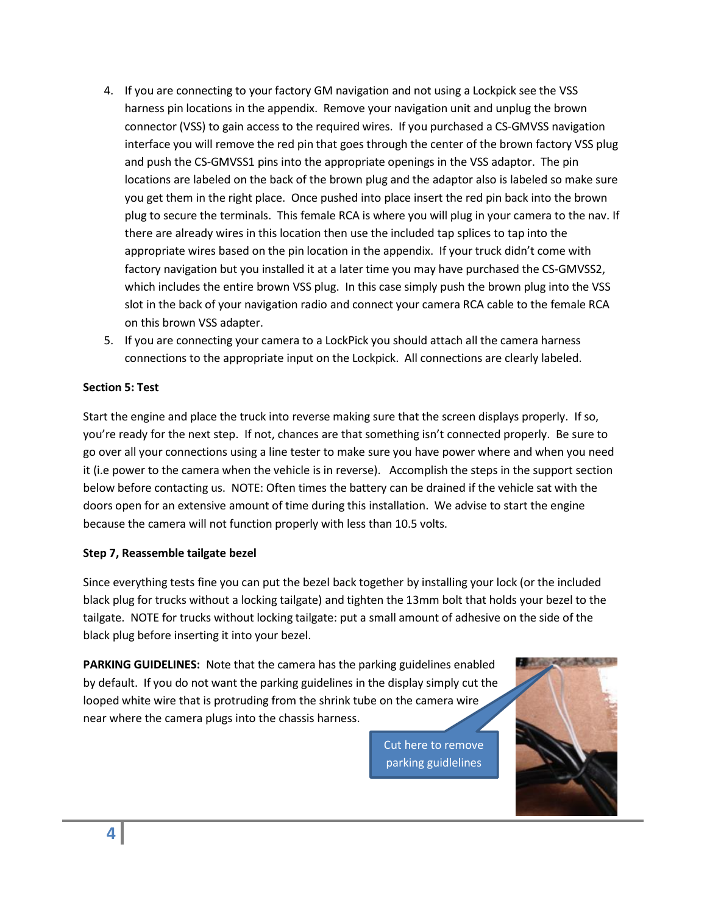- 4. If you are connecting to your factory GM navigation and not using a Lockpick see the VSS harness pin locations in the appendix. Remove your navigation unit and unplug the brown connector (VSS) to gain access to the required wires. If you purchased a CS-GMVSS navigation interface you will remove the red pin that goes through the center of the brown factory VSS plug and push the CS-GMVSS1 pins into the appropriate openings in the VSS adaptor. The pin locations are labeled on the back of the brown plug and the adaptor also is labeled so make sure you get them in the right place. Once pushed into place insert the red pin back into the brown plug to secure the terminals. This female RCA is where you will plug in your camera to the nav. If there are already wires in this location then use the included tap splices to tap into the appropriate wires based on the pin location in the appendix. If your truck didn't come with factory navigation but you installed it at a later time you may have purchased the CS-GMVSS2, which includes the entire brown VSS plug. In this case simply push the brown plug into the VSS slot in the back of your navigation radio and connect your camera RCA cable to the female RCA on this brown VSS adapter.
- 5. If you are connecting your camera to a LockPick you should attach all the camera harness connections to the appropriate input on the Lockpick. All connections are clearly labeled.

#### **Section 5: Test**

Start the engine and place the truck into reverse making sure that the screen displays properly. If so, you're ready for the next step. If not, chances are that something isn't connected properly. Be sure to go over all your connections using a line tester to make sure you have power where and when you need it (i.e power to the camera when the vehicle is in reverse). Accomplish the steps in the support section below before contacting us. NOTE: Often times the battery can be drained if the vehicle sat with the doors open for an extensive amount of time during this installation. We advise to start the engine because the camera will not function properly with less than 10.5 volts.

#### **Step 7, Reassemble tailgate bezel**

Since everything tests fine you can put the bezel back together by installing your lock (or the included black plug for trucks without a locking tailgate) and tighten the 13mm bolt that holds your bezel to the tailgate. NOTE for trucks without locking tailgate: put a small amount of adhesive on the side of the black plug before inserting it into your bezel.

**PARKING GUIDELINES:** Note that the camera has the parking guidelines enabled by default. If you do not want the parking guidelines in the display simply cut the looped white wire that is protruding from the shrink tube on the camera wire near where the camera plugs into the chassis harness.

> Cut here to remove parking guidlelines

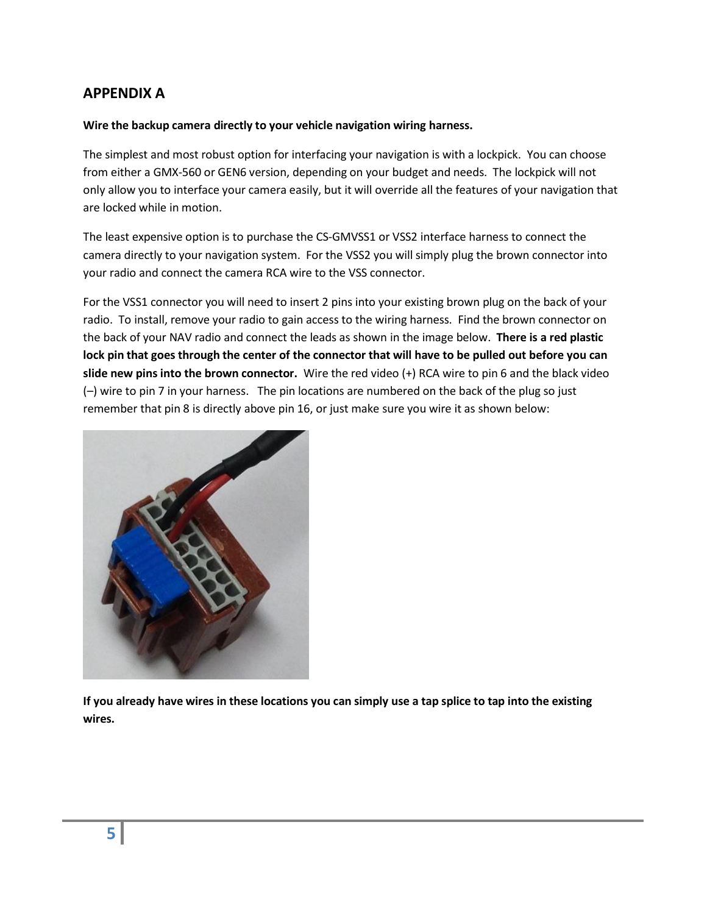# **APPENDIX A**

#### **Wire the backup camera directly to your vehicle navigation wiring harness.**

The simplest and most robust option for interfacing your navigation is with a lockpick. You can choose from either a GMX-560 or GEN6 version, depending on your budget and needs. The lockpick will not only allow you to interface your camera easily, but it will override all the features of your navigation that are locked while in motion.

The least expensive option is to purchase the CS-GMVSS1 or VSS2 interface harness to connect the camera directly to your navigation system. For the VSS2 you will simply plug the brown connector into your radio and connect the camera RCA wire to the VSS connector.

For the VSS1 connector you will need to insert 2 pins into your existing brown plug on the back of your radio. To install, remove your radio to gain access to the wiring harness. Find the brown connector on the back of your NAV radio and connect the leads as shown in the image below. **There is a red plastic lock pin that goes through the center of the connector that will have to be pulled out before you can slide new pins into the brown connector.** Wire the red video (+) RCA wire to pin 6 and the black video (–) wire to pin 7 in your harness. The pin locations are numbered on the back of the plug so just remember that pin 8 is directly above pin 16, or just make sure you wire it as shown below:



**If you already have wires in these locations you can simply use a tap splice to tap into the existing wires.**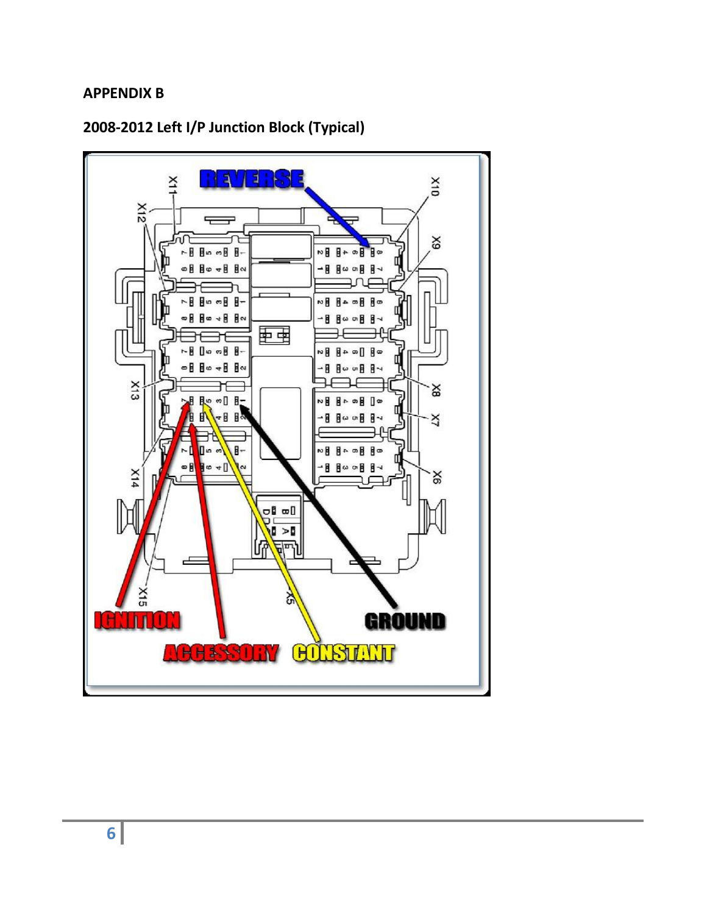# **APPENDIX B**